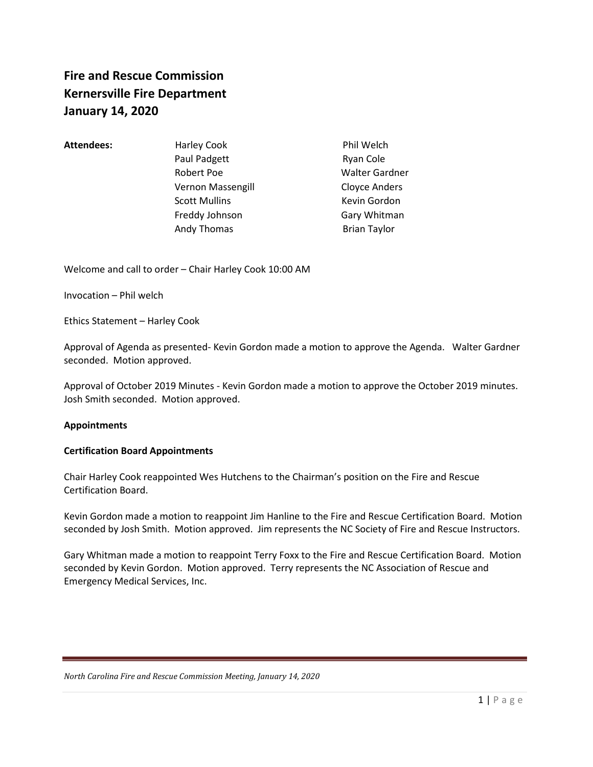# **Fire and Rescue Commission Kernersville Fire Department January 14, 2020**

### Attendees: **Harley Cook** Phil Welch

Paul Padgett **Ryan Cole** Robert Poe Walter Gardner Vernon Massengill **Vernon Massengill** Cloyce Anders Scott Mullins **Kevin Gordon** Freddy Johnson Gary Whitman Andy Thomas **Brian Taylor** Brian Taylor

Welcome and call to order – Chair Harley Cook 10:00 AM

Invocation – Phil welch

Ethics Statement – Harley Cook

Approval of Agenda as presented- Kevin Gordon made a motion to approve the Agenda. Walter Gardner seconded. Motion approved.

Approval of October 2019 Minutes - Kevin Gordon made a motion to approve the October 2019 minutes. Josh Smith seconded. Motion approved.

### **Appointments**

### **Certification Board Appointments**

Chair Harley Cook reappointed Wes Hutchens to the Chairman's position on the Fire and Rescue Certification Board.

Kevin Gordon made a motion to reappoint Jim Hanline to the Fire and Rescue Certification Board. Motion seconded by Josh Smith. Motion approved. Jim represents the NC Society of Fire and Rescue Instructors.

Gary Whitman made a motion to reappoint Terry Foxx to the Fire and Rescue Certification Board. Motion seconded by Kevin Gordon. Motion approved. Terry represents the NC Association of Rescue and Emergency Medical Services, Inc.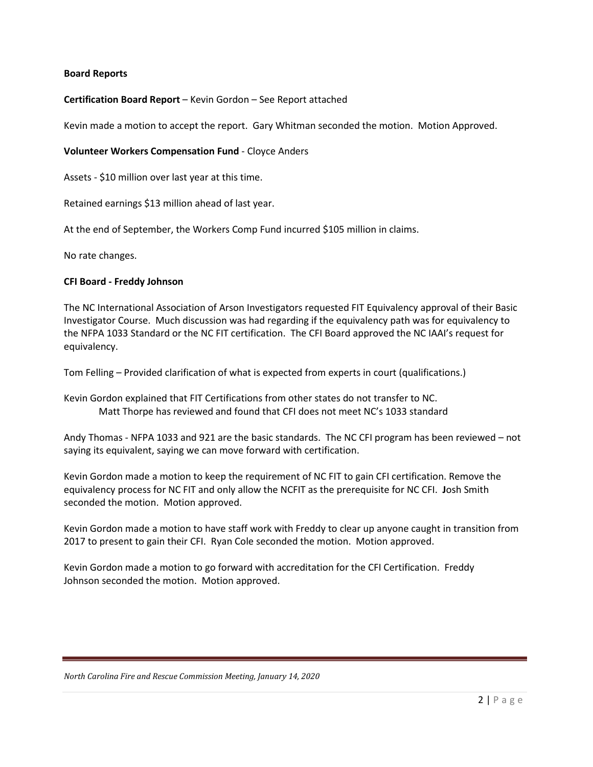### **Board Reports**

### **Certification Board Report** – Kevin Gordon – See Report attached

Kevin made a motion to accept the report. Gary Whitman seconded the motion. Motion Approved.

### **Volunteer Workers Compensation Fund** - Cloyce Anders

Assets - \$10 million over last year at this time.

Retained earnings \$13 million ahead of last year.

At the end of September, the Workers Comp Fund incurred \$105 million in claims.

No rate changes.

### **CFI Board - Freddy Johnson**

The NC International Association of Arson Investigators requested FIT Equivalency approval of their Basic Investigator Course. Much discussion was had regarding if the equivalency path was for equivalency to the NFPA 1033 Standard or the NC FIT certification. The CFI Board approved the NC IAAI's request for equivalency.

Tom Felling – Provided clarification of what is expected from experts in court (qualifications.)

Kevin Gordon explained that FIT Certifications from other states do not transfer to NC. Matt Thorpe has reviewed and found that CFI does not meet NC's 1033 standard

Andy Thomas - NFPA 1033 and 921 are the basic standards. The NC CFI program has been reviewed – not saying its equivalent, saying we can move forward with certification.

Kevin Gordon made a motion to keep the requirement of NC FIT to gain CFI certification. Remove the equivalency process for NC FIT and only allow the NCFIT as the prerequisite for NC CFI. **J**osh Smith seconded the motion. Motion approved.

Kevin Gordon made a motion to have staff work with Freddy to clear up anyone caught in transition from 2017 to present to gain their CFI. Ryan Cole seconded the motion. Motion approved.

Kevin Gordon made a motion to go forward with accreditation for the CFI Certification. Freddy Johnson seconded the motion. Motion approved.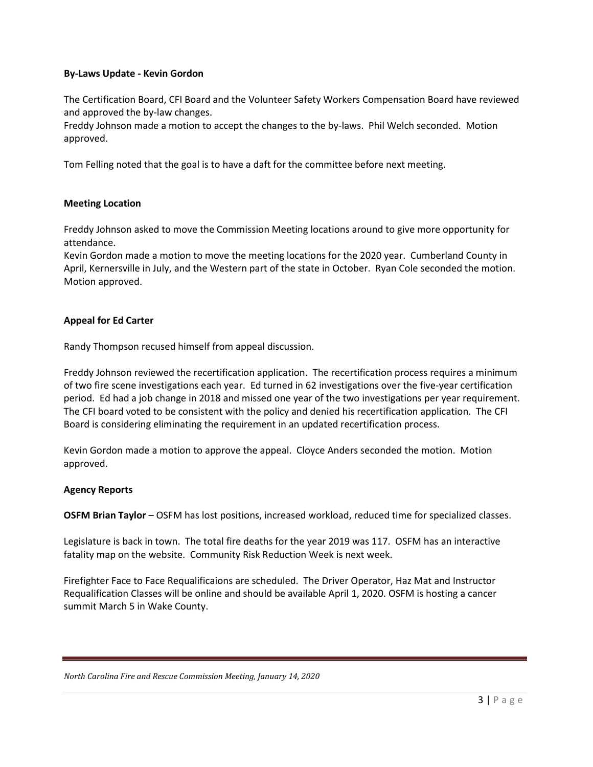### **By-Laws Update - Kevin Gordon**

The Certification Board, CFI Board and the Volunteer Safety Workers Compensation Board have reviewed and approved the by-law changes.

Freddy Johnson made a motion to accept the changes to the by-laws. Phil Welch seconded. Motion approved.

Tom Felling noted that the goal is to have a daft for the committee before next meeting.

### **Meeting Location**

Freddy Johnson asked to move the Commission Meeting locations around to give more opportunity for attendance.

Kevin Gordon made a motion to move the meeting locations for the 2020 year. Cumberland County in April, Kernersville in July, and the Western part of the state in October. Ryan Cole seconded the motion. Motion approved.

### **Appeal for Ed Carter**

Randy Thompson recused himself from appeal discussion.

Freddy Johnson reviewed the recertification application. The recertification process requires a minimum of two fire scene investigations each year. Ed turned in 62 investigations over the five-year certification period. Ed had a job change in 2018 and missed one year of the two investigations per year requirement. The CFI board voted to be consistent with the policy and denied his recertification application. The CFI Board is considering eliminating the requirement in an updated recertification process.

Kevin Gordon made a motion to approve the appeal. Cloyce Anders seconded the motion. Motion approved.

### **Agency Reports**

**OSFM Brian Taylor** – OSFM has lost positions, increased workload, reduced time for specialized classes.

Legislature is back in town. The total fire deaths for the year 2019 was 117. OSFM has an interactive fatality map on the website. Community Risk Reduction Week is next week.

Firefighter Face to Face Requalificaions are scheduled. The Driver Operator, Haz Mat and Instructor Requalification Classes will be online and should be available April 1, 2020. OSFM is hosting a cancer summit March 5 in Wake County.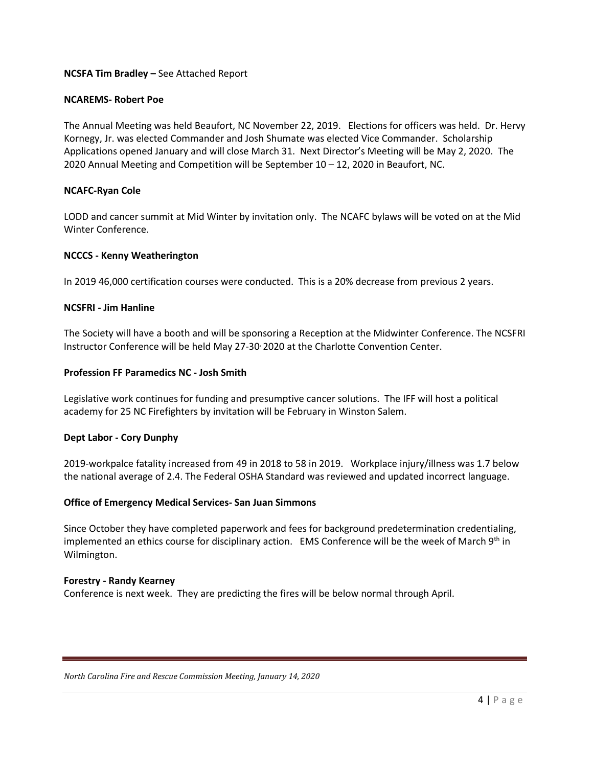### **NCSFA Tim Bradley –** See Attached Report

### **NCAREMS- Robert Poe**

The Annual Meeting was held Beaufort, NC November 22, 2019. Elections for officers was held. Dr. Hervy Kornegy, Jr. was elected Commander and Josh Shumate was elected Vice Commander. Scholarship Applications opened January and will close March 31. Next Director's Meeting will be May 2, 2020. The 2020 Annual Meeting and Competition will be September 10 – 12, 2020 in Beaufort, NC.

### **NCAFC-Ryan Cole**

LODD and cancer summit at Mid Winter by invitation only. The NCAFC bylaws will be voted on at the Mid Winter Conference.

### **NCCCS - Kenny Weatherington**

In 2019 46,000 certification courses were conducted. This is a 20% decrease from previous 2 years.

### **NCSFRI - Jim Hanline**

The Society will have a booth and will be sponsoring a Reception at the Midwinter Conference. The NCSFRI Instructor Conference will be held May 27-30, 2020 at the Charlotte Convention Center.

### **Profession FF Paramedics NC - Josh Smith**

Legislative work continues for funding and presumptive cancer solutions. The IFF will host a political academy for 25 NC Firefighters by invitation will be February in Winston Salem.

### **Dept Labor - Cory Dunphy**

2019-workpalce fatality increased from 49 in 2018 to 58 in 2019. Workplace injury/illness was 1.7 below the national average of 2.4. The Federal OSHA Standard was reviewed and updated incorrect language.

### **Office of Emergency Medical Services- San Juan Simmons**

Since October they have completed paperwork and fees for background predetermination credentialing, implemented an ethics course for disciplinary action. EMS Conference will be the week of March 9<sup>th</sup> in Wilmington.

### **Forestry - Randy Kearney**

Conference is next week. They are predicting the fires will be below normal through April.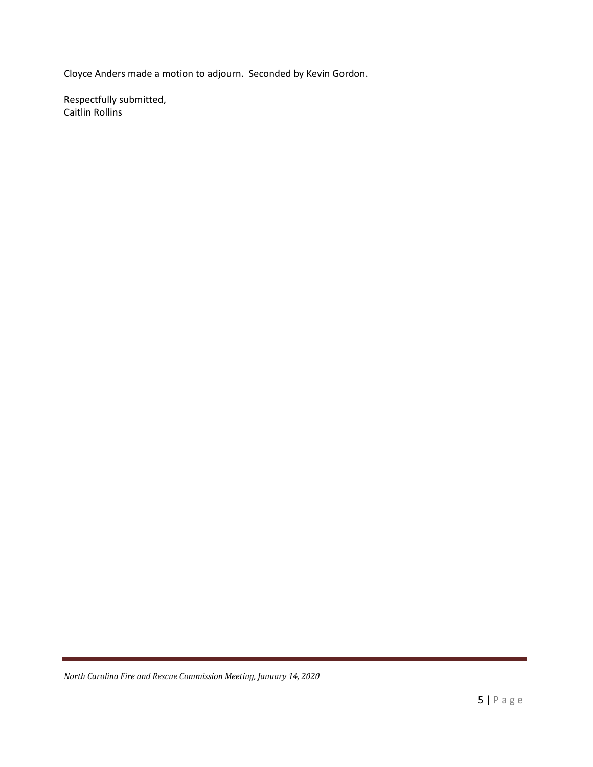Cloyce Anders made a motion to adjourn. Seconded by Kevin Gordon.

Respectfully submitted, Caitlin Rollins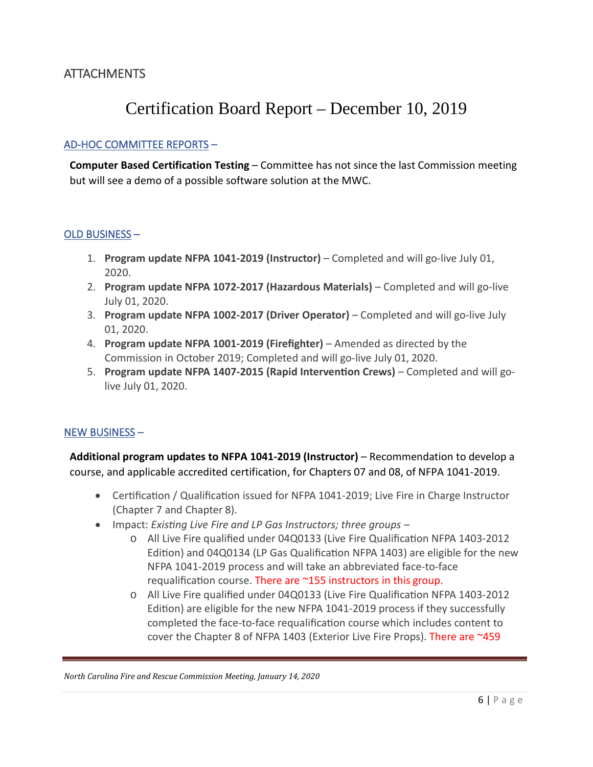### **ATTACHMENTS**

# Certification Board Report – December 10, 2019

### AD-HOC COMMITTEE REPORTS –

**Computer Based Certification Testing** – Committee has not since the last Commission meeting but will see a demo of a possible software solution at the MWC.

### OLD BUSINESS –

- 1. **Program update NFPA 1041-2019 (Instructor)**  Completed and will go-live July 01, 2020.
- 2. **Program update NFPA 1072-2017 (Hazardous Materials)**  Completed and will go-live July 01, 2020.
- 3. **Program update NFPA 1002-2017 (Driver Operator)**  Completed and will go-live July 01, 2020.
- 4. **Program update NFPA 1001-2019 (Firefighter)**  Amended as directed by the Commission in October 2019; Completed and will go-live July 01, 2020.
- 5. **Program update NFPA 1407-2015 (Rapid Interven�on Crews)**  Completed and will golive July 01, 2020.

### NEW BUSINESS –

**Additional program updates to NFPA 1041-2019 (Instructor)** – Recommendation to develop a course, and applicable accredited certification, for Chapters 07 and 08, of NFPA 1041-2019.

- Certification / Qualification issued for NFPA 1041-2019; Live Fire in Charge Instructor (Chapter 7 and Chapter 8).
- Impact: *Existing Live Fire and LP Gas Instructors; three groups –*
	- o All Live Fire qualified under 04Q0133 (Live Fire Qualifica�on NFPA 1403-2012 Edition) and 04Q0134 (LP Gas Qualification NFPA 1403) are eligible for the new NFPA 1041-2019 process and will take an abbreviated face-to-face requalification course. There are ~155 instructors in this group.
	- o All Live Fire qualified under 04Q0133 (Live Fire Qualifica�on NFPA 1403-2012 Edition) are eligible for the new NFPA 1041-2019 process if they successfully completed the face-to-face requalification course which includes content to cover the Chapter 8 of NFPA 1403 (Exterior Live Fire Props). There are ~459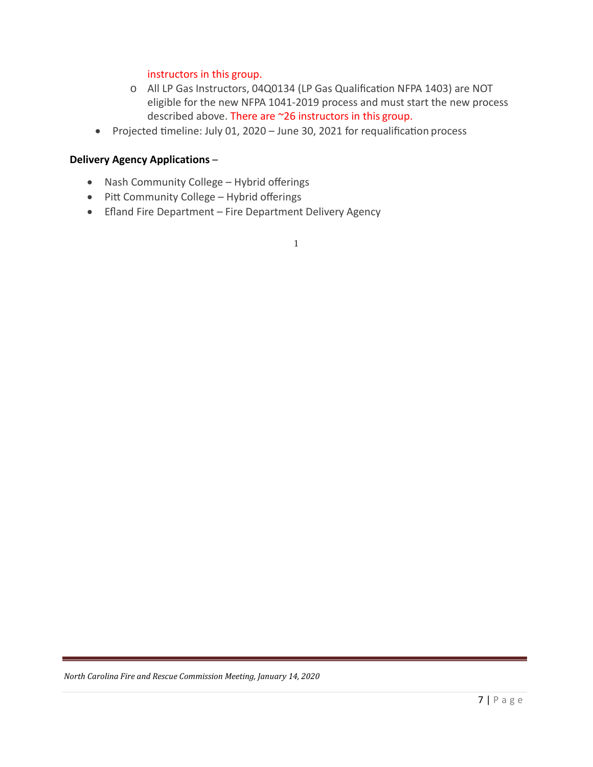### instructors in this group.

- o All LP Gas Instructors, 04Q0134 (LP Gas Qualification NFPA 1403) are NOT eligible for the new NFPA 1041-2019 process and must start the new process described above. There are ~26 instructors in this group.
- Projected timeline: July 01, 2020 June 30, 2021 for requalification process

### **Delivery Agency Applications** –

- Nash Community College Hybrid offerings
- Pitt Community College Hybrid offerings
- Efland Fire Department Fire Department Delivery Agency

1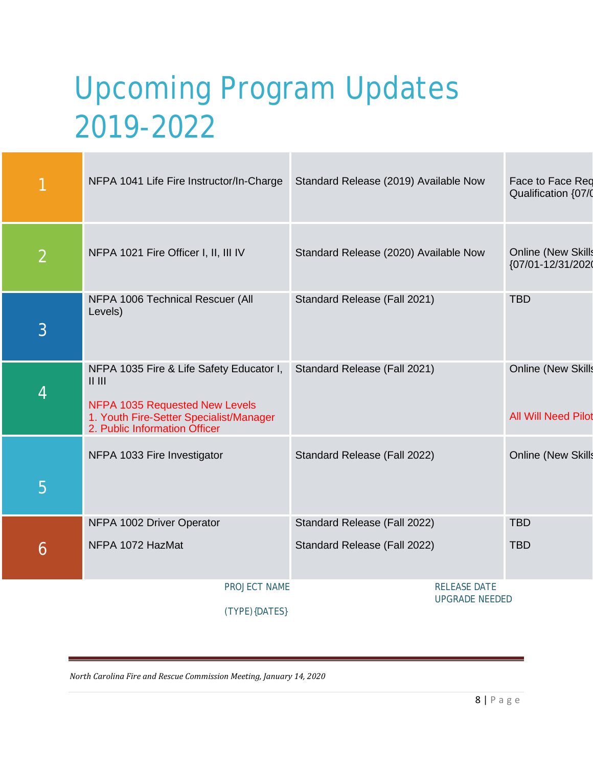# Upcoming Program Updates 2019-2022

|                | NFPA 1041 Life Fire Instructor/In-Charge                                                                                                                            | Standard Release (2019) Available Now                        | Face to Face Red<br>Qualification {07/0                 |
|----------------|---------------------------------------------------------------------------------------------------------------------------------------------------------------------|--------------------------------------------------------------|---------------------------------------------------------|
| $\overline{2}$ | NFPA 1021 Fire Officer I, II, III IV                                                                                                                                | Standard Release (2020) Available Now                        | <b>Online (New Skills</b><br>{07/01-12/31/2020          |
| 3              | NFPA 1006 Technical Rescuer (All<br>Levels)                                                                                                                         | Standard Release (Fall 2021)                                 | <b>TBD</b>                                              |
| 4              | NFPA 1035 Fire & Life Safety Educator I,<br>$  $ $  $<br>NFPA 1035 Requested New Levels<br>1. Youth Fire-Setter Specialist/Manager<br>2. Public Information Officer | Standard Release (Fall 2021)                                 | <b>Online (New Skills</b><br><b>All Will Need Pilot</b> |
| 5              | NFPA 1033 Fire Investigator                                                                                                                                         | Standard Release (Fall 2022)                                 | <b>Online (New Skills</b>                               |
| 6              | NFPA 1002 Driver Operator<br>NFPA 1072 HazMat                                                                                                                       | Standard Release (Fall 2022)<br>Standard Release (Fall 2022) | <b>TBD</b><br><b>TBD</b>                                |
|                | PROJECT NAME<br>(TYPE){DATES}                                                                                                                                       | <b>RELEASE DATE</b><br><b>UPGRADE NEEDED</b>                 |                                                         |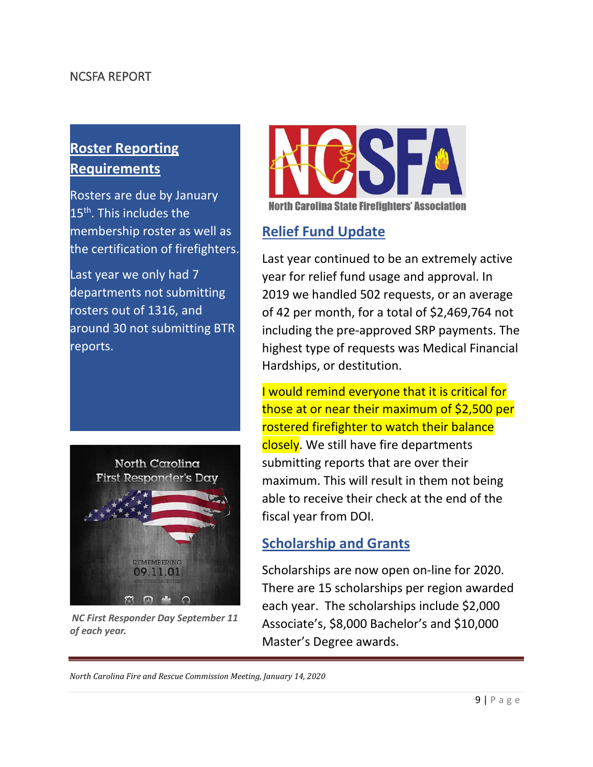### NCSFA REPORT

# **Roster Reporting Requirements**

Rosters are due by January 15<sup>th</sup>. This includes the membership roster as well as the certification of firefighters.

Last year we only had 7 departments not submitting rosters out of 1316, and around 30 not submitting BTR reports.



*NC First Responder Day September 11 of each year.*



**North Carolina State Firefighters' Association** 

# **Relief Fund Update**

Last year continued to be an extremely active year for relief fund usage and approval. In 2019 we handled 502 requests, or an average of 42 per month, for a total of \$2,469,764 not including the pre-approved SRP payments. The highest type of requests was Medical Financial Hardships, or destitution.

I would remind everyone that it is critical for those at or near their maximum of \$2,500 per rostered firefighter to watch their balance closely. We still have fire departments submitting reports that are over their maximum. This will result in them not being able to receive their check at the end of the fiscal year from DOI.

# **Scholarship and Grants**

Scholarships are now open on-line for 2020. There are 15 scholarships per region awarded each year. The scholarships include \$2,000 Associate's, \$8,000 Bachelor's and \$10,000 Master's Degree awards.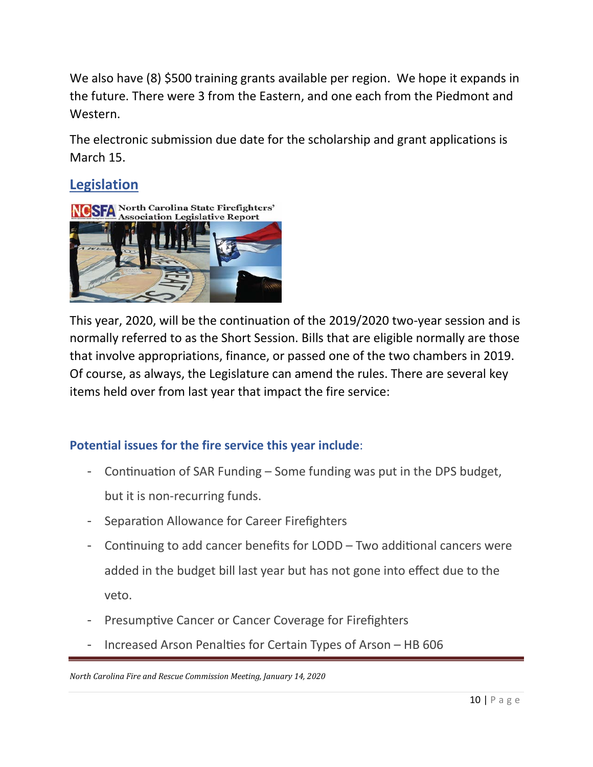We also have (8) \$500 training grants available per region. We hope it expands in the future. There were 3 from the Eastern, and one each from the Piedmont and Western.

The electronic submission due date for the scholarship and grant applications is March 15.

# **Legislation**



This year, 2020, will be the continuation of the 2019/2020 two-year session and is normally referred to as the Short Session. Bills that are eligible normally are those that involve appropriations, finance, or passed one of the two chambers in 2019. Of course, as always, the Legislature can amend the rules. There are several key items held over from last year that impact the fire service:

# **Potential issues for the fire service this year include**:

- Continuation of SAR Funding  $-$  Some funding was put in the DPS budget, but it is non-recurring funds.
- Separation Allowance for Career Firefighters
- Continuing to add cancer benefits for LODD Two additional cancers were added in the budget bill last year but has not gone into effect due to the veto.
- Presumptive Cancer or Cancer Coverage for Firefighters
- Increased Arson Penalties for Certain Types of Arson HB 606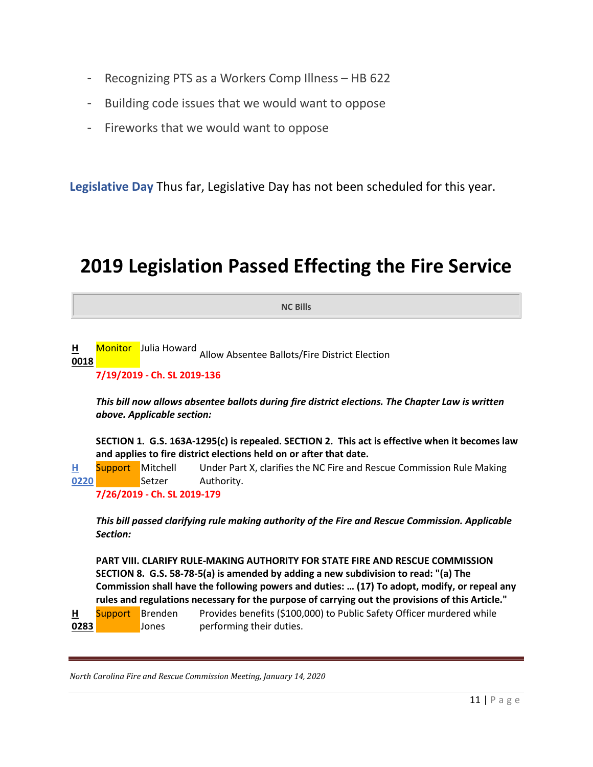- Recognizing PTS as a Workers Comp Illness HB 622
- Building code issues that we would want to oppose
- Fireworks that we would want to oppose

**Legislative Day** Thus far, Legislative Day has not been scheduled for this year.

# **2019 Legislation Passed Effecting the Fire Service**

**NC Bills**

**[H](http://www.ciclt.net/sn/leg/l_detail2.aspx?ClientCode=ncsfa&L_ID=1800967)  [0018](http://www.ciclt.net/sn/leg/l_detail2.aspx?ClientCode=ncsfa&L_ID=1800967)** Monitor Julia Howard Allow Absentee Ballots/Fire District Election

**7/19/2019 - Ch. SL 2019-136**

*This bill now allows absentee ballots during fire district elections. The Chapter Law is written above. Applicable section:*

**SECTION 1. G.S. 163A-1295(c) is repealed. SECTION 2. This act is effective when it becomes law and applies to fire district elections held on or after that date.**

**[H](http://www.ciclt.net/sn/leg/l_detail2.aspx?ClientCode=ncsfa&L_ID=1867263)  [0220](http://www.ciclt.net/sn/leg/l_detail2.aspx?ClientCode=ncsfa&L_ID=1867263)** Support Mitchell **Setzer** Under Part X, clarifies the NC Fire and Rescue Commission Rule Making Authority.

**7/26/2019 - Ch. SL 2019-179**

*This bill passed clarifying rule making authority of the Fire and Rescue Commission. Applicable Section:*

**PART VIII. CLARIFY RULE-MAKING AUTHORITY FOR STATE FIRE AND RESCUE COMMISSION SECTION 8. G.S. 58-78-5(a) is amended by adding a new subdivision to read: "(a) The Commission shall have the following powers and duties: … (17) To adopt, modify, or repeal any rules and regulations necessary for the purpose of carrying out the provisions of this Article."**

**[H](http://www.ciclt.net/sn/leg/l_detail2.aspx?ClientCode=ncsfa&L_ID=1884797)  [0283](http://www.ciclt.net/sn/leg/l_detail2.aspx?ClientCode=ncsfa&L_ID=1884797)** Support Brenden Jones Provides benefits (\$100,000) to Public Safety Officer murdered while performing their duties.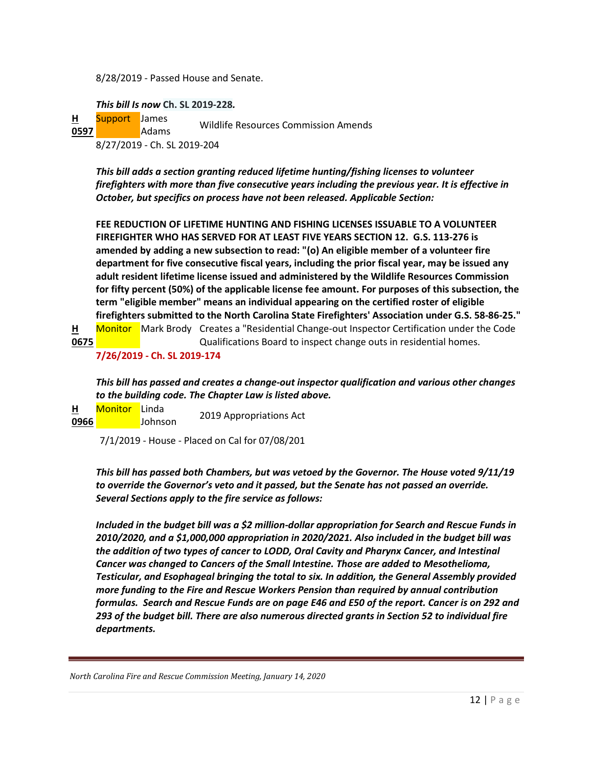8/28/2019 - Passed House and Senate.

*This bill Is now* **Ch. SL 2019-228***.*

**[H](http://www.ciclt.net/sn/leg/l_detail2.aspx?ClientCode=ncsfa&L_ID=1918273)  [0597](http://www.ciclt.net/sn/leg/l_detail2.aspx?ClientCode=ncsfa&L_ID=1918273)** Support James Adams Wildlife Resources Commission Amends 8/27/2019 - Ch. SL 2019-204

*This bill adds a section granting reduced lifetime hunting/fishing licenses to volunteer firefighters with more than five consecutive years including the previous year. It is effective in October, but specifics on process have not been released. Applicable Section:*

**FEE REDUCTION OF LIFETIME HUNTING AND FISHING LICENSES ISSUABLE TO A VOLUNTEER FIREFIGHTER WHO HAS SERVED FOR AT LEAST FIVE YEARS SECTION 12. G.S. 113-276 is amended by adding a new subsection to read: "(o) An eligible member of a volunteer fire department for five consecutive fiscal years, including the prior fiscal year, may be issued any adult resident lifetime license issued and administered by the Wildlife Resources Commission for fifty percent (50%) of the applicable license fee amount. For purposes of this subsection, the term "eligible member" means an individual appearing on the certified roster of eligible firefighters submitted to the North Carolina State Firefighters' Association under G.S. 58-86-25."** 

**[H](http://www.ciclt.net/sn/leg/l_detail2.aspx?ClientCode=ncsfa&L_ID=1921519)  [0675](http://www.ciclt.net/sn/leg/l_detail2.aspx?ClientCode=ncsfa&L_ID=1921519)** Monitor Mark Brody Creates a "Residential Change-out Inspector Certification under the Code Qualifications Board to inspect change outs in residential homes. **7/26/2019 - Ch. SL 2019-174**

*This bill has passed and creates a change-out inspector qualification and various other changes to the building code. The Chapter Law is listed above.*

**[H](http://www.ciclt.net/sn/leg/l_detail2.aspx?ClientCode=ncsfa&L_ID=1925472)  [0966](http://www.ciclt.net/sn/leg/l_detail2.aspx?ClientCode=ncsfa&L_ID=1925472)** Johnson Monitor Linda 2019 Appropriations Act

7/1/2019 - House - Placed on Cal for 07/08/201

*This bill has passed both Chambers, but was vetoed by the Governor. The House voted 9/11/19 to override the Governor's veto and it passed, but the Senate has not passed an override. Several Sections apply to the fire service as follows:*

*Included in the budget bill was a \$2 million-dollar appropriation for Search and Rescue Funds in 2010/2020, and a \$1,000,000 appropriation in 2020/2021. Also included in the budget bill was the addition of two types of cancer to LODD, Oral Cavity and Pharynx Cancer, and Intestinal Cancer was changed to Cancers of the Small Intestine. Those are added to Mesothelioma, Testicular, and Esophageal bringing the total to six. In addition, the General Assembly provided more funding to the Fire and Rescue Workers Pension than required by annual contribution formulas. Search and Rescue Funds are on page E46 and E50 of the report. Cancer is on 292 and 293 of the budget bill. There are also numerous directed grants in Section 52 to individual fire departments.*

*North Carolina Fire and Rescue Commission Meeting, January 14, 2020*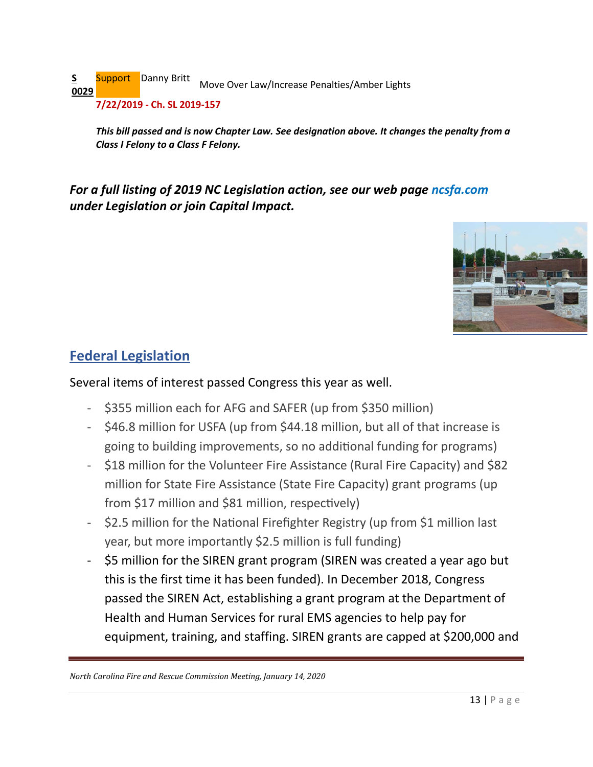**[S](http://www.ciclt.net/sn/leg/l_detail2.aspx?ClientCode=ncsfa&L_ID=1811799)  [0029](http://www.ciclt.net/sn/leg/l_detail2.aspx?ClientCode=ncsfa&L_ID=1811799)** Support Danny Britt Move Over Law/Increase Penalties/Amber Lights **7/22/2019 - Ch. SL 2019-157**

*This bill passed and is now Chapter Law. See designation above. It changes the penalty from a Class I Felony to a Class F Felony.* 

*For a full listing of 2019 NC Legislation action, see our web page ncsfa.com under Legislation or join Capital Impact.*



# **Federal Legislation**

### Several items of interest passed Congress this year as well.

- \$355 million each for AFG and SAFER (up from \$350 million)
- \$46.8 million for USFA (up from \$44.18 million, but all of that increase is going to building improvements, so no addi�onal funding for programs)
- \$18 million for the Volunteer Fire Assistance (Rural Fire Capacity) and \$82 million for State Fire Assistance (State Fire Capacity) grant programs (up from  $$17$  million and  $$81$  million, respectively)
- \$2.5 million for the National Firefighter Registry (up from \$1 million last year, but more importantly \$2.5 million is full funding)
- \$5 million for the SIREN grant program (SIREN was created a year ago but this is the first time it has been funded). In December 2018, Congress passed the SIREN Act, establishing a grant program at the Department of Health and Human Services for rural EMS agencies to help pay for equipment, training, and staffing. SIREN grants are capped at \$200,000 and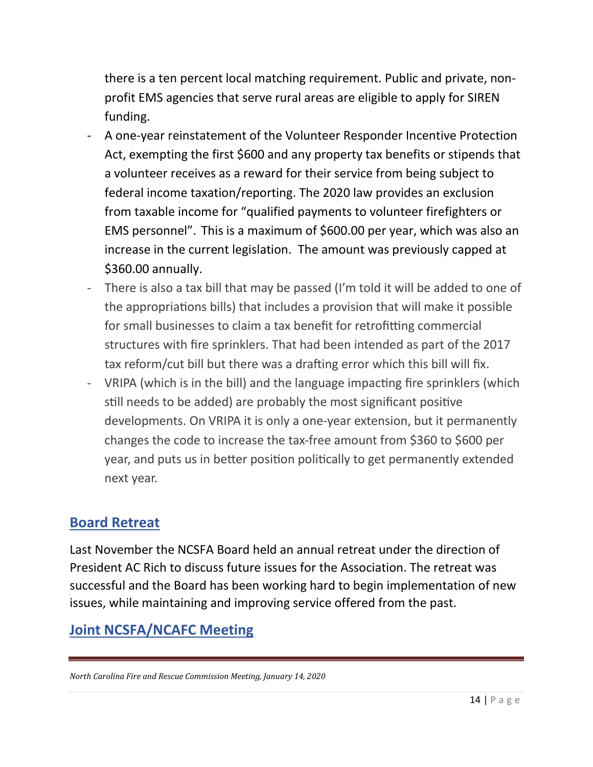there is a ten percent local matching requirement. Public and private, nonprofit EMS agencies that serve rural areas are eligible to apply for SIREN funding.

- A one-year reinstatement of the Volunteer Responder Incentive Protection Act, exempting the first \$600 and any property tax benefits or stipends that a volunteer receives as a reward for their service from being subject to federal income taxation/reporting. The 2020 law provides an exclusion from taxable income for "qualified payments to volunteer firefighters or EMS personnel". This is a maximum of \$600.00 per year, which was also an increase in the current legislation. The amount was previously capped at \$360.00 annually.
- There is also a tax bill that may be passed (I'm told it will be added to one of the appropriations bills) that includes a provision that will make it possible for small businesses to claim a tax benefit for retrofitting commercial structures with fire sprinklers. That had been intended as part of the 2017 tax reform/cut bill but there was a drafting error which this bill will fix.
- VRIPA (which is in the bill) and the language impacting fire sprinklers (which still needs to be added) are probably the most significant positive developments. On VRIPA it is only a one-year extension, but it permanently changes the code to increase the tax-free amount from \$360 to \$600 per year, and puts us in better position politically to get permanently extended next year.

# **Board Retreat**

Last November the NCSFA Board held an annual retreat under the direction of President AC Rich to discuss future issues for the Association. The retreat was successful and the Board has been working hard to begin implementation of new issues, while maintaining and improving service offered from the past.

# **Joint NCSFA/NCAFC Meeting**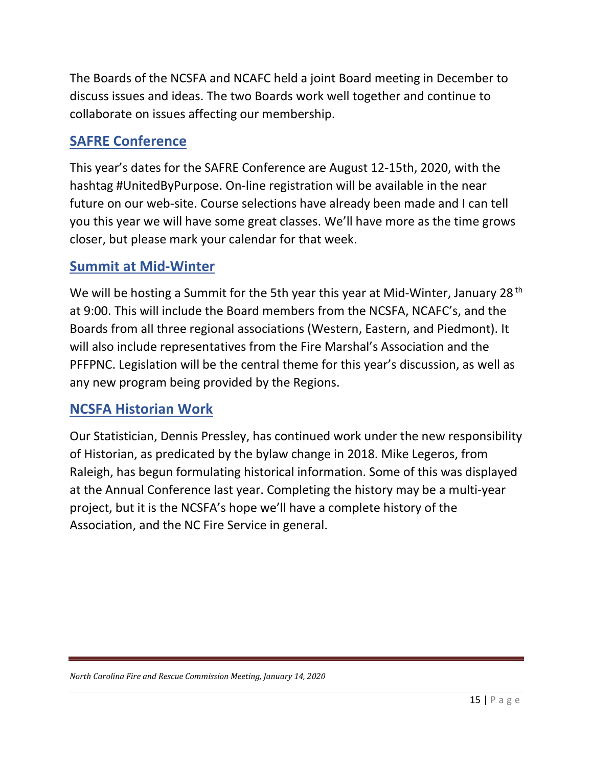The Boards of the NCSFA and NCAFC held a joint Board meeting in December to discuss issues and ideas. The two Boards work well together and continue to collaborate on issues affecting our membership.

# **SAFRE Conference**

This year's dates for the SAFRE Conference are August 12-15th, 2020, with the hashtag #UnitedByPurpose. On-line registration will be available in the near future on our web-site. Course selections have already been made and I can tell you this year we will have some great classes. We'll have more as the time grows closer, but please mark your calendar for that week.

# **Summit at Mid-Winter**

We will be hosting a Summit for the 5th year this year at Mid-Winter, January 28<sup>th</sup> at 9:00. This will include the Board members from the NCSFA, NCAFC's, and the Boards from all three regional associations (Western, Eastern, and Piedmont). It will also include representatives from the Fire Marshal's Association and the PFFPNC. Legislation will be the central theme for this year's discussion, as well as any new program being provided by the Regions.

# **NCSFA Historian Work**

Our Statistician, Dennis Pressley, has continued work under the new responsibility of Historian, as predicated by the bylaw change in 2018. Mike Legeros, from Raleigh, has begun formulating historical information. Some of this was displayed at the Annual Conference last year. Completing the history may be a multi-year project, but it is the NCSFA's hope we'll have a complete history of the Association, and the NC Fire Service in general.